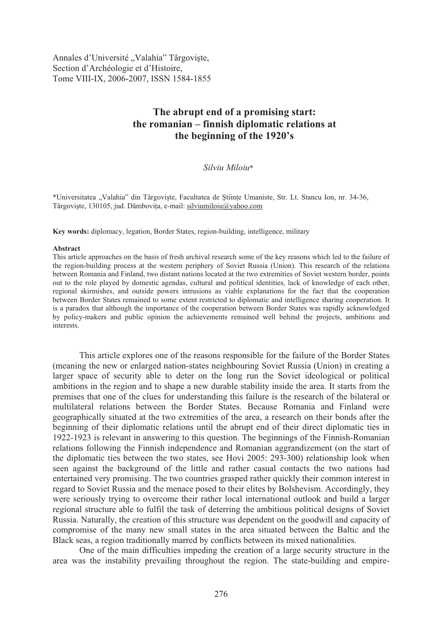Annales d'Université "Valahia" Târgoviște, Section d'Archéologie et d'Histoire, Tome VIII-IX, 2006-2007, ISSN 1584-1855

# **The abrupt end of a promising start: the romanian – finnish diplomatic relations at the beginning of the 1920's**

## *Silviu Miloiu*\*

\*Universitatea "Valahia" din Târgovi te, Facultatea de !tiin"e Umaniste, Str. Lt. Stancu Ion, nr. 34-36, Târgoviște, 130105, jud. Dâmbovița, e-mail: silviumiloiu@yahoo.com

**Key words:** diplomacy, legation, Border States, region-building, intelligence, military

#### **Abstract**

This article approaches on the basis of fresh archival research some of the key reasons which led to the failure of the region-building process at the western periphery of Soviet Russia (Union). This research of the relations between Romania and Finland, two distant nations located at the two extremities of Soviet western border, points out to the role played by domestic agendas, cultural and political identities, lack of knowledge of each other, regional skirmishes, and outside powers intrusions as viable explanations for the fact that the cooperation between Border States remained to some extent restricted to diplomatic and intelligence sharing cooperation. It is a paradox that although the importance of the cooperation between Border States was rapidly acknowledged by policy-makers and public opinion the achievements remained well behind the projects, ambitions and interests.

This article explores one of the reasons responsible for the failure of the Border States (meaning the new or enlarged nation-states neighbouring Soviet Russia (Union) in creating a larger space of security able to deter on the long run the Soviet ideological or political ambitions in the region and to shape a new durable stability inside the area. It starts from the premises that one of the clues for understanding this failure is the research of the bilateral or multilateral relations between the Border States. Because Romania and Finland were geographically situated at the two extremities of the area, a research on their bonds after the beginning of their diplomatic relations until the abrupt end of their direct diplomatic ties in 1922-1923 is relevant in answering to this question. The beginnings of the Finnish-Romanian relations following the Finnish independence and Romanian aggrandizement (on the start of the diplomatic ties between the two states, see Hovi 2005: 293-300) relationship look when seen against the background of the little and rather casual contacts the two nations had entertained very promising. The two countries grasped rather quickly their common interest in regard to Soviet Russia and the menace posed to their elites by Bolshevism. Accordingly, they were seriously trying to overcome their rather local international outlook and build a larger regional structure able to fulfil the task of deterring the ambitious political designs of Soviet Russia. Naturally, the creation of this structure was dependent on the goodwill and capacity of compromise of the many new small states in the area situated between the Baltic and the Black seas, a region traditionally marred by conflicts between its mixed nationalities.

One of the main difficulties impeding the creation of a large security structure in the area was the instability prevailing throughout the region. The state-building and empire-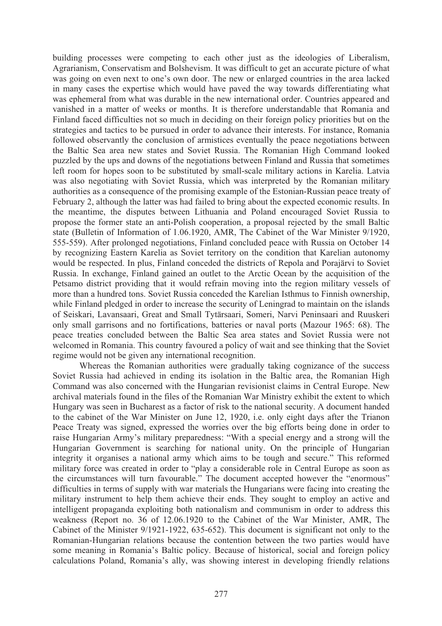building processes were competing to each other just as the ideologies of Liberalism, Agrarianism, Conservatism and Bolshevism. It was difficult to get an accurate picture of what was going on even next to one's own door. The new or enlarged countries in the area lacked in many cases the expertise which would have paved the way towards differentiating what was ephemeral from what was durable in the new international order. Countries appeared and vanished in a matter of weeks or months. It is therefore understandable that Romania and Finland faced difficulties not so much in deciding on their foreign policy priorities but on the strategies and tactics to be pursued in order to advance their interests. For instance, Romania followed observantly the conclusion of armistices eventually the peace negotiations between the Baltic Sea area new states and Soviet Russia. The Romanian High Command looked puzzled by the ups and downs of the negotiations between Finland and Russia that sometimes left room for hopes soon to be substituted by small-scale military actions in Karelia. Latvia was also negotiating with Soviet Russia, which was interpreted by the Romanian military authorities as a consequence of the promising example of the Estonian-Russian peace treaty of February 2, although the latter was had failed to bring about the expected economic results. In the meantime, the disputes between Lithuania and Poland encouraged Soviet Russia to propose the former state an anti-Polish cooperation, a proposal rejected by the small Baltic state (Bulletin of Information of 1.06.1920, AMR, The Cabinet of the War Minister 9/1920, 555-559). After prolonged negotiations, Finland concluded peace with Russia on October 14 by recognizing Eastern Karelia as Soviet territory on the condition that Karelian autonomy would be respected. In plus, Finland conceded the districts of Repola and Porajärvi to Soviet Russia. In exchange, Finland gained an outlet to the Arctic Ocean by the acquisition of the Petsamo district providing that it would refrain moving into the region military vessels of more than a hundred tons. Soviet Russia conceded the Karelian Isthmus to Finnish ownership, while Finland pledged in order to increase the security of Leningrad to maintain on the islands of Seiskari, Lavansaari, Great and Small Tytärsaari, Someri, Narvi Peninsaari and Ruuskeri only small garrisons and no fortifications, batteries or naval ports (Mazour 1965: 68). The peace treaties concluded between the Baltic Sea area states and Soviet Russia were not welcomed in Romania. This country favoured a policy of wait and see thinking that the Soviet regime would not be given any international recognition.

Whereas the Romanian authorities were gradually taking cognizance of the success Soviet Russia had achieved in ending its isolation in the Baltic area, the Romanian High Command was also concerned with the Hungarian revisionist claims in Central Europe. New archival materials found in the files of the Romanian War Ministry exhibit the extent to which Hungary was seen in Bucharest as a factor of risk to the national security. A document handed to the cabinet of the War Minister on June 12, 1920, i.e. only eight days after the Trianon Peace Treaty was signed, expressed the worries over the big efforts being done in order to raise Hungarian Army's military preparedness: "With a special energy and a strong will the Hungarian Government is searching for national unity. On the principle of Hungarian integrity it organises a national army which aims to be tough and secure." This reformed military force was created in order to "play a considerable role in Central Europe as soon as the circumstances will turn favourable." The document accepted however the "enormous" difficulties in terms of supply with war materials the Hungarians were facing into creating the military instrument to help them achieve their ends. They sought to employ an active and intelligent propaganda exploiting both nationalism and communism in order to address this weakness (Report no. 36 of 12.06.1920 to the Cabinet of the War Minister, AMR, The Cabinet of the Minister 9/1921-1922, 635-652). This document is significant not only to the Romanian-Hungarian relations because the contention between the two parties would have some meaning in Romania's Baltic policy. Because of historical, social and foreign policy calculations Poland, Romania's ally, was showing interest in developing friendly relations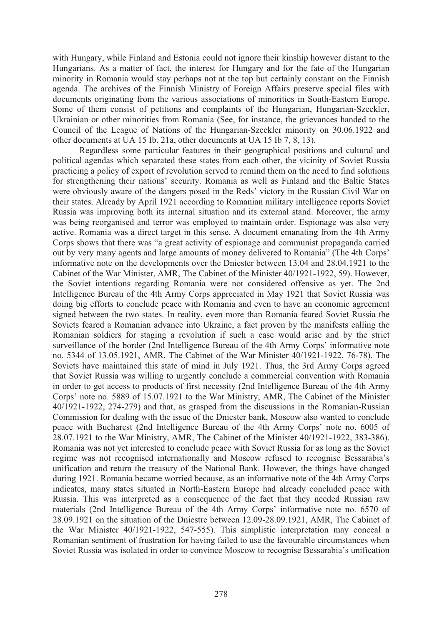with Hungary, while Finland and Estonia could not ignore their kinship however distant to the Hungarians. As a matter of fact, the interest for Hungary and for the fate of the Hungarian minority in Romania would stay perhaps not at the top but certainly constant on the Finnish agenda. The archives of the Finnish Ministry of Foreign Affairs preserve special files with documents originating from the various associations of minorities in South-Eastern Europe. Some of them consist of petitions and complaints of the Hungarian, Hungarian-Szeckler, Ukrainian or other minorities from Romania (See, for instance, the grievances handed to the Council of the League of Nations of the Hungarian-Szeckler minority on 30.06.1922 and other documents at UA 15 Ib. 21a, other documents at UA 15 Ib 7, 8, 13).

Regardless some particular features in their geographical positions and cultural and political agendas which separated these states from each other, the vicinity of Soviet Russia practicing a policy of export of revolution served to remind them on the need to find solutions for strengthening their nations' security. Romania as well as Finland and the Baltic States were obviously aware of the dangers posed in the Reds' victory in the Russian Civil War on their states. Already by April 1921 according to Romanian military intelligence reports Soviet Russia was improving both its internal situation and its external stand. Moreover, the army was being reorganised and terror was employed to maintain order. Espionage was also very active. Romania was a direct target in this sense. A document emanating from the 4th Army Corps shows that there was "a great activity of espionage and communist propaganda carried out by very many agents and large amounts of money delivered to Romania" (The 4th Corps' informative note on the developments over the Dniester between 13.04 and 28.04.1921 to the Cabinet of the War Minister, AMR, The Cabinet of the Minister 40/1921-1922, 59). However, the Soviet intentions regarding Romania were not considered offensive as yet. The 2nd Intelligence Bureau of the 4th Army Corps appreciated in May 1921 that Soviet Russia was doing big efforts to conclude peace with Romania and even to have an economic agreement signed between the two states. In reality, even more than Romania feared Soviet Russia the Soviets feared a Romanian advance into Ukraine, a fact proven by the manifests calling the Romanian soldiers for staging a revolution if such a case would arise and by the strict surveillance of the border (2nd Intelligence Bureau of the 4th Army Corps' informative note no. 5344 of 13.05.1921, AMR, The Cabinet of the War Minister 40/1921-1922, 76-78). The Soviets have maintained this state of mind in July 1921. Thus, the 3rd Army Corps agreed that Soviet Russia was willing to urgently conclude a commercial convention with Romania in order to get access to products of first necessity (2nd Intelligence Bureau of the 4th Army Corps' note no. 5889 of 15.07.1921 to the War Ministry, AMR, The Cabinet of the Minister 40/1921-1922, 274-279) and that, as grasped from the discussions in the Romanian-Russian Commission for dealing with the issue of the Dniester bank, Moscow also wanted to conclude peace with Bucharest (2nd Intelligence Bureau of the 4th Army Corps' note no. 6005 of 28.07.1921 to the War Ministry, AMR, The Cabinet of the Minister 40/1921-1922, 383-386). Romania was not yet interested to conclude peace with Soviet Russia for as long as the Soviet regime was not recognised internationally and Moscow refused to recognise Bessarabia's unification and return the treasury of the National Bank. However, the things have changed during 1921. Romania became worried because, as an informative note of the 4th Army Corps indicates, many states situated in North-Eastern Europe had already concluded peace with Russia. This was interpreted as a consequence of the fact that they needed Russian raw materials (2nd Intelligence Bureau of the 4th Army Corps' informative note no. 6570 of 28.09.1921 on the situation of the Dniestre between 12.09-28.09.1921, AMR, The Cabinet of the War Minister 40/1921-1922, 547-555). This simplistic interpretation may conceal a Romanian sentiment of frustration for having failed to use the favourable circumstances when Soviet Russia was isolated in order to convince Moscow to recognise Bessarabia's unification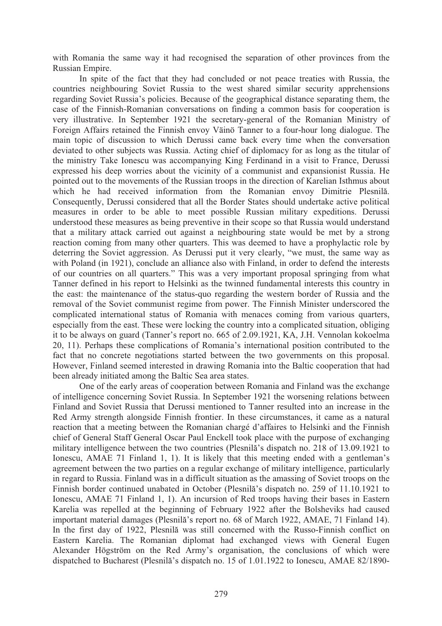with Romania the same way it had recognised the separation of other provinces from the Russian Empire.

In spite of the fact that they had concluded or not peace treaties with Russia, the countries neighbouring Soviet Russia to the west shared similar security apprehensions regarding Soviet Russia's policies. Because of the geographical distance separating them, the case of the Finnish-Romanian conversations on finding a common basis for cooperation is very illustrative. In September 1921 the secretary-general of the Romanian Ministry of Foreign Affairs retained the Finnish envoy Väinö Tanner to a four-hour long dialogue. The main topic of discussion to which Derussi came back every time when the conversation deviated to other subjects was Russia. Acting chief of diplomacy for as long as the titular of the ministry Take Ionescu was accompanying King Ferdinand in a visit to France, Derussi expressed his deep worries about the vicinity of a communist and expansionist Russia. He pointed out to the movements of the Russian troops in the direction of Karelian Isthmus about which he had received information from the Romanian envoy Dimitrie Plesnilă. Consequently, Derussi considered that all the Border States should undertake active political measures in order to be able to meet possible Russian military expeditions. Derussi understood these measures as being preventive in their scope so that Russia would understand that a military attack carried out against a neighbouring state would be met by a strong reaction coming from many other quarters. This was deemed to have a prophylactic role by deterring the Soviet aggression. As Derussi put it very clearly, "we must, the same way as with Poland (in 1921), conclude an alliance also with Finland, in order to defend the interests of our countries on all quarters." This was a very important proposal springing from what Tanner defined in his report to Helsinki as the twinned fundamental interests this country in the east: the maintenance of the status-quo regarding the western border of Russia and the removal of the Soviet communist regime from power. The Finnish Minister underscored the complicated international status of Romania with menaces coming from various quarters, especially from the east. These were locking the country into a complicated situation, obliging it to be always on guard (Tanner's report no. 665 of 2.09.1921, KA, J.H. Vennolan kokoelma 20, 11). Perhaps these complications of Romania's international position contributed to the fact that no concrete negotiations started between the two governments on this proposal. However, Finland seemed interested in drawing Romania into the Baltic cooperation that had been already initiated among the Baltic Sea area states.

One of the early areas of cooperation between Romania and Finland was the exchange of intelligence concerning Soviet Russia. In September 1921 the worsening relations between Finland and Soviet Russia that Derussi mentioned to Tanner resulted into an increase in the Red Army strength alongside Finnish frontier. In these circumstances, it came as a natural reaction that a meeting between the Romanian chargé d'affaires to Helsinki and the Finnish chief of General Staff General Oscar Paul Enckell took place with the purpose of exchanging military intelligence between the two countries (Plesnila's dispatch no. 218 of 13.09.1921 to Ionescu, AMAE 71 Finland 1, 1). It is likely that this meeting ended with a gentleman's agreement between the two parties on a regular exchange of military intelligence, particularly in regard to Russia. Finland was in a difficult situation as the amassing of Soviet troops on the Finnish border continued unabated in October (Plesnilă's dispatch no. 259 of 11.10.1921 to Ionescu, AMAE 71 Finland 1, 1). An incursion of Red troops having their bases in Eastern Karelia was repelled at the beginning of February 1922 after the Bolsheviks had caused important material damages (Plesnilă's report no. 68 of March 1922, AMAE, 71 Finland 14). In the first day of 1922, Plesnilă was still concerned with the Russo-Finnish conflict on Eastern Karelia. The Romanian diplomat had exchanged views with General Eugen Alexander Högström on the Red Army's organisation, the conclusions of which were dispatched to Bucharest (Plesnilă's dispatch no. 15 of 1.01.1922 to Ionescu, AMAE 82/1890-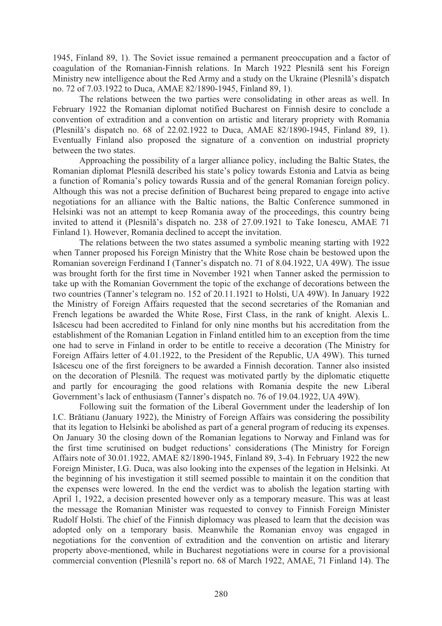1945, Finland 89, 1). The Soviet issue remained a permanent preoccupation and a factor of coagulation of the Romanian-Finnish relations. In March 1922 Plesnilă sent his Foreign Ministry new intelligence about the Red Army and a study on the Ukraine (Plesnila's dispatch no. 72 of 7.03.1922 to Duca, AMAE 82/1890-1945, Finland 89, 1).

The relations between the two parties were consolidating in other areas as well. In February 1922 the Romanian diplomat notified Bucharest on Finnish desire to conclude a convention of extradition and a convention on artistic and literary propriety with Romania (Plesnilă's dispatch no. 68 of 22.02.1922 to Duca, AMAE 82/1890-1945, Finland 89, 1). Eventually Finland also proposed the signature of a convention on industrial propriety between the two states.

Approaching the possibility of a larger alliance policy, including the Baltic States, the Romanian diplomat Plesnilă described his state's policy towards Estonia and Latvia as being a function of Romania's policy towards Russia and of the general Romanian foreign policy. Although this was not a precise definition of Bucharest being prepared to engage into active negotiations for an alliance with the Baltic nations, the Baltic Conference summoned in Helsinki was not an attempt to keep Romania away of the proceedings, this country being invited to attend it (Plesnilă's dispatch no. 238 of 27.09.1921 to Take Ionescu, AMAE 71 Finland 1). However, Romania declined to accept the invitation.

The relations between the two states assumed a symbolic meaning starting with 1922 when Tanner proposed his Foreign Ministry that the White Rose chain be bestowed upon the Romanian sovereign Ferdinand I (Tanner's dispatch no. 71 of 8.04.1922, UA 49W). The issue was brought forth for the first time in November 1921 when Tanner asked the permission to take up with the Romanian Government the topic of the exchange of decorations between the two countries (Tanner's telegram no. 152 of 20.11.1921 to Holsti, UA 49W). In January 1922 the Ministry of Foreign Affairs requested that the second secretaries of the Romanian and French legations be awarded the White Rose, First Class, in the rank of knight. Alexis L. Isăcescu had been accredited to Finland for only nine months but his accreditation from the establishment of the Romanian Legation in Finland entitled him to an exception from the time one had to serve in Finland in order to be entitle to receive a decoration (The Ministry for Foreign Affairs letter of 4.01.1922, to the President of the Republic, UA 49W). This turned Isăcescu one of the first foreigners to be awarded a Finnish decoration. Tanner also insisted on the decoration of Plesnilă. The request was motivated partly by the diplomatic etiquette and partly for encouraging the good relations with Romania despite the new Liberal Government's lack of enthusiasm (Tanner's dispatch no. 76 of 19.04.1922, UA 49W).

Following suit the formation of the Liberal Government under the leadership of Ion I.C. Brătianu (January 1922), the Ministry of Foreign Affairs was considering the possibility that its legation to Helsinki be abolished as part of a general program of reducing its expenses. On January 30 the closing down of the Romanian legations to Norway and Finland was for the first time scrutinised on budget reductions' considerations (The Ministry for Foreign Affairs note of 30.01.1922, AMAE 82/1890-1945, Finland 89, 3-4). In February 1922 the new Foreign Minister, I.G. Duca, was also looking into the expenses of the legation in Helsinki. At the beginning of his investigation it still seemed possible to maintain it on the condition that the expenses were lowered. In the end the verdict was to abolish the legation starting with April 1, 1922, a decision presented however only as a temporary measure. This was at least the message the Romanian Minister was requested to convey to Finnish Foreign Minister Rudolf Holsti. The chief of the Finnish diplomacy was pleased to learn that the decision was adopted only on a temporary basis. Meanwhile the Romanian envoy was engaged in negotiations for the convention of extradition and the convention on artistic and literary property above-mentioned, while in Bucharest negotiations were in course for a provisional commercial convention (Plesnilă's report no. 68 of March 1922, AMAE, 71 Finland 14). The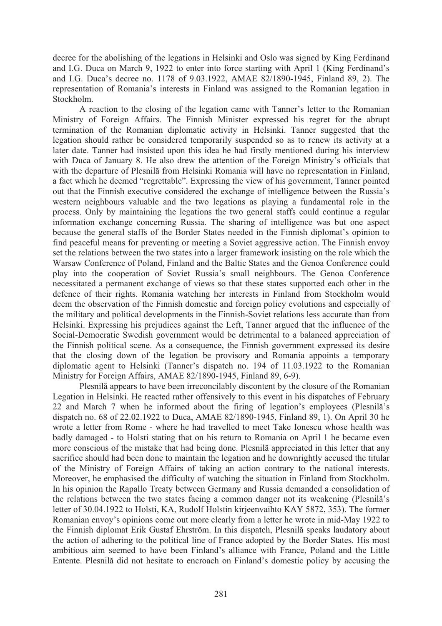decree for the abolishing of the legations in Helsinki and Oslo was signed by King Ferdinand and I.G. Duca on March 9, 1922 to enter into force starting with April 1 (King Ferdinand's and I.G. Duca's decree no. 1178 of 9.03.1922, AMAE 82/1890-1945, Finland 89, 2). The representation of Romania's interests in Finland was assigned to the Romanian legation in Stockholm.

A reaction to the closing of the legation came with Tanner's letter to the Romanian Ministry of Foreign Affairs. The Finnish Minister expressed his regret for the abrupt termination of the Romanian diplomatic activity in Helsinki. Tanner suggested that the legation should rather be considered temporarily suspended so as to renew its activity at a later date. Tanner had insisted upon this idea he had firstly mentioned during his interview with Duca of January 8. He also drew the attention of the Foreign Ministry's officials that with the departure of Plesnilă from Helsinki Romania will have no representation in Finland, a fact which he deemed "regrettable". Expressing the view of his government, Tanner pointed out that the Finnish executive considered the exchange of intelligence between the Russia's western neighbours valuable and the two legations as playing a fundamental role in the process. Only by maintaining the legations the two general staffs could continue a regular information exchange concerning Russia. The sharing of intelligence was but one aspect because the general staffs of the Border States needed in the Finnish diplomat's opinion to find peaceful means for preventing or meeting a Soviet aggressive action. The Finnish envoy set the relations between the two states into a larger framework insisting on the role which the Warsaw Conference of Poland, Finland and the Baltic States and the Genoa Conference could play into the cooperation of Soviet Russia's small neighbours. The Genoa Conference necessitated a permanent exchange of views so that these states supported each other in the defence of their rights. Romania watching her interests in Finland from Stockholm would deem the observation of the Finnish domestic and foreign policy evolutions and especially of the military and political developments in the Finnish-Soviet relations less accurate than from Helsinki. Expressing his prejudices against the Left, Tanner argued that the influence of the Social-Democratic Swedish government would be detrimental to a balanced appreciation of the Finnish political scene. As a consequence, the Finnish government expressed its desire that the closing down of the legation be provisory and Romania appoints a temporary diplomatic agent to Helsinki (Tanner's dispatch no. 194 of 11.03.1922 to the Romanian Ministry for Foreign Affairs, AMAE 82/1890-1945, Finland 89, 6-9).

Plesnilă appears to have been irreconcilably discontent by the closure of the Romanian Legation in Helsinki. He reacted rather offensively to this event in his dispatches of February 22 and March 7 when he informed about the firing of legation's employees (Plesnila's dispatch no. 68 of 22.02.1922 to Duca, AMAE 82/1890-1945, Finland 89, 1). On April 30 he wrote a letter from Rome - where he had travelled to meet Take Ionescu whose health was badly damaged - to Holsti stating that on his return to Romania on April 1 he became even more conscious of the mistake that had being done. Plesnila appreciated in this letter that any sacrifice should had been done to maintain the legation and he downrightly accused the titular of the Ministry of Foreign Affairs of taking an action contrary to the national interests. Moreover, he emphasised the difficulty of watching the situation in Finland from Stockholm. In his opinion the Rapallo Treaty between Germany and Russia demanded a consolidation of the relations between the two states facing a common danger not its weakening (Plesnila's letter of 30.04.1922 to Holsti, KA, Rudolf Holstin kirjeenvaihto KAY 5872, 353). The former Romanian envoy's opinions come out more clearly from a letter he wrote in mid-May 1922 to the Finnish diplomat Erik Gustaf Ehrström. In this dispatch, Plesnilă speaks laudatory about the action of adhering to the political line of France adopted by the Border States. His most ambitious aim seemed to have been Finland's alliance with France, Poland and the Little Entente. Plesnilă did not hesitate to encroach on Finland's domestic policy by accusing the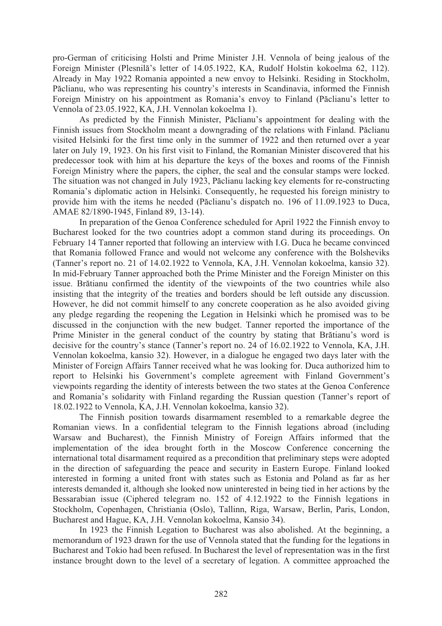pro-German of criticising Holsti and Prime Minister J.H. Vennola of being jealous of the Foreign Minister (Plesnilă's letter of 14.05.1922, KA, Rudolf Holstin kokoelma 62, 112). Already in May 1922 Romania appointed a new envoy to Helsinki. Residing in Stockholm, Păclianu, who was representing his country's interests in Scandinavia, informed the Finnish Foreign Ministry on his appointment as Romania's envoy to Finland (Păclianu's letter to Vennola of 23.05.1922, KA, J.H. Vennolan kokoelma 1).

As predicted by the Finnish Minister, Păclianu's appointment for dealing with the Finnish issues from Stockholm meant a downgrading of the relations with Finland. Păclianu visited Helsinki for the first time only in the summer of 1922 and then returned over a year later on July 19, 1923. On his first visit to Finland, the Romanian Minister discovered that his predecessor took with him at his departure the keys of the boxes and rooms of the Finnish Foreign Ministry where the papers, the cipher, the seal and the consular stamps were locked. The situation was not changed in July 1923, Păclianu lacking key elements for re-constructing Romania's diplomatic action in Helsinki. Consequently, he requested his foreign ministry to provide him with the items he needed (Păclianu's dispatch no. 196 of 11.09.1923 to Duca, AMAE 82/1890-1945, Finland 89, 13-14).

In preparation of the Genoa Conference scheduled for April 1922 the Finnish envoy to Bucharest looked for the two countries adopt a common stand during its proceedings. On February 14 Tanner reported that following an interview with I.G. Duca he became convinced that Romania followed France and would not welcome any conference with the Bolsheviks (Tanner's report no. 21 of 14.02.1922 to Vennola, KA, J.H. Vennolan kokoelma, kansio 32). In mid-February Tanner approached both the Prime Minister and the Foreign Minister on this issue. Brătianu confirmed the identity of the viewpoints of the two countries while also insisting that the integrity of the treaties and borders should be left outside any discussion. However, he did not commit himself to any concrete cooperation as he also avoided giving any pledge regarding the reopening the Legation in Helsinki which he promised was to be discussed in the conjunction with the new budget. Tanner reported the importance of the Prime Minister in the general conduct of the country by stating that Brătianu's word is decisive for the country's stance (Tanner's report no. 24 of 16.02.1922 to Vennola, KA, J.H. Vennolan kokoelma, kansio 32). However, in a dialogue he engaged two days later with the Minister of Foreign Affairs Tanner received what he was looking for. Duca authorized him to report to Helsinki his Government's complete agreement with Finland Government's viewpoints regarding the identity of interests between the two states at the Genoa Conference and Romania's solidarity with Finland regarding the Russian question (Tanner's report of 18.02.1922 to Vennola, KA, J.H. Vennolan kokoelma, kansio 32).

The Finnish position towards disarmament resembled to a remarkable degree the Romanian views. In a confidential telegram to the Finnish legations abroad (including Warsaw and Bucharest), the Finnish Ministry of Foreign Affairs informed that the implementation of the idea brought forth in the Moscow Conference concerning the international total disarmament required as a precondition that preliminary steps were adopted in the direction of safeguarding the peace and security in Eastern Europe. Finland looked interested in forming a united front with states such as Estonia and Poland as far as her interests demanded it, although she looked now uninterested in being tied in her actions by the Bessarabian issue (Ciphered telegram no. 152 of 4.12.1922 to the Finnish legations in Stockholm, Copenhagen, Christiania (Oslo), Tallinn, Riga, Warsaw, Berlin, Paris, London, Bucharest and Hague, KA, J.H. Vennolan kokoelma, Kansio 34).

In 1923 the Finnish Legation to Bucharest was also abolished. At the beginning, a memorandum of 1923 drawn for the use of Vennola stated that the funding for the legations in Bucharest and Tokio had been refused. In Bucharest the level of representation was in the first instance brought down to the level of a secretary of legation. A committee approached the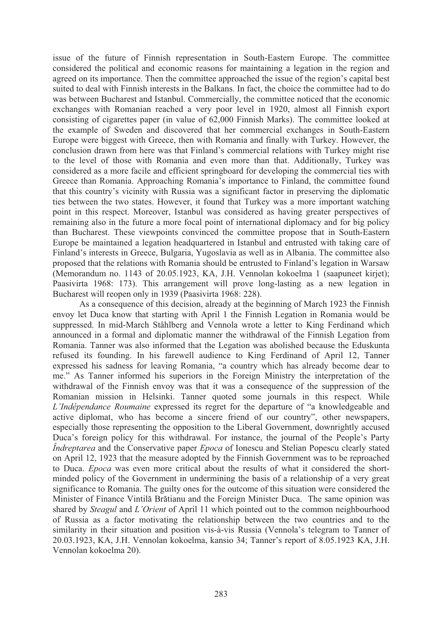issue of the future of Finnish representation in South-Eastern Europe. The committee considered the political and economic reasons for maintaining a legation in the region and agreed on its importance. Then the committee approached the issue of the region's capital best suited to deal with Finnish interests in the Balkans. In fact, the choice the committee had to do was between Bucharest and Istanbul. Commercially, the committee noticed that the economic exchanges with Romanian reached a very poor level in 1920, almost all Finnish export consisting of cigarettes paper (in value of 62,000 Finnish Marks). The committee looked at the example of Sweden and discovered that her commercial exchanges in South-Eastern Europe were biggest with Greece, then with Romania and finally with Turkey. However, the conclusion drawn from here was that Finland's commercial relations with Turkey might rise to the level of those with Romania and even more than that. Additionally, Turkey was considered as a more facile and efficient springboard for developing the commercial ties with Greece than Romania. Approaching Romania's importance to Finland, the committee found that this country's vicinity with Russia was a significant factor in preserving the diplomatic ties between the two states. However, it found that Turkey was a more important watching point in this respect. Moreover, Istanbul was considered as having greater perspectives of remaining also in the future a more focal point of international diplomacy and for big policy than Bucharest. These viewpoints convinced the committee propose that in South-Eastern Europe be maintained a legation headquartered in Istanbul and entrusted with taking care of Finland's interests in Greece, Bulgaria, Yugoslavia as well as in Albania. The committee also proposed that the relations with Romania should be entrusted to Finland's legation in Warsaw (Memorandum no. 1143 of 20.05.1923, KA, J.H. Vennolan kokoelma 1 (saapuneet kirjet); Paasivirta 1968: 173). This arrangement will prove long-lasting as a new legation in Bucharest will reopen only in 1939 (Paasivirta 1968: 228).

As a consequence of this decision, already at the beginning of March 1923 the Finnish envoy let Duca know that starting with April 1 the Finnish Legation in Romania would be suppressed. In mid-March Ståhlberg and Vennola wrote a letter to King Ferdinand which announced in a formal and diplomatic manner the withdrawal of the Finnish Legation from Romania. Tanner was also informed that the Legation was abolished because the Eduskunta refused its founding. In his farewell audience to King Ferdinand of April 12, Tanner expressed his sadness for leaving Romania, "a country which has already become dear to me." As Tanner informed his superiors in the Foreign Ministry the interpretation of the withdrawal of the Finnish envoy was that it was a consequence of the suppression of the Romanian mission in Helsinki. Tanner quoted some journals in this respect. While *L'Indépendance Roumaine* expressed its regret for the departure of "a knowledgeable and active diplomat, who has become a sincere friend of our country", other newspapers, especially those representing the opposition to the Liberal Government, downrightly accused Duca's foreign policy for this withdrawal. For instance, the journal of the People's Party *Îndreptarea* and the Conservative paper *Epoca* of Ionescu and Stelian Popescu clearly stated on April 12, 1923 that the measure adopted by the Finnish Government was to be reproached to Duca. *Epoca* was even more critical about the results of what it considered the shortminded policy of the Government in undermining the basis of a relationship of a very great significance to Romania. The guilty ones for the outcome of this situation were considered the Minister of Finance Vintilă Brătianu and the Foreign Minister Duca. The same opinion was shared by *Steagul* and *L'Orient* of April 11 which pointed out to the common neighbourhood of Russia as a factor motivating the relationship between the two countries and to the similarity in their situation and position vis-à-vis Russia (Vennola's telegram to Tanner of 20.03.1923, KA, J.H. Vennolan kokoelma, kansio 34; Tanner's report of 8.05.1923 KA, J.H. Vennolan kokoelma 20).